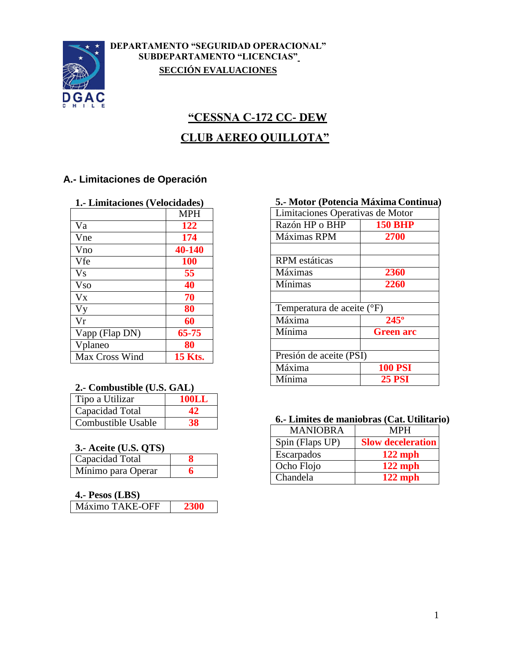

## **DEPARTAMENTO "SEGURIDAD OPERACIONAL" SUBDEPARTAMENTO "LICENCIAS" SECCIÓN EVALUACIONES**

# **"CESSNA C-172 CC- DEW CLUB AEREO QUILLOTA"**

## **A.- Limitaciones de Operación**

| 1.- Limitaciones (Velocidades) |  |
|--------------------------------|--|
|--------------------------------|--|

|                       | <b>MPH</b>     |
|-----------------------|----------------|
| Va                    | 122            |
| Vne                   | 174            |
| Vno                   | 40-140         |
| Vfe                   | <b>100</b>     |
| <b>Vs</b>             | 55             |
| <b>V<sub>so</sub></b> | 40             |
| <b>V<sub>x</sub></b>  | 70             |
| Vy                    | 80             |
| Vr                    | 60             |
| Vapp (Flap DN)        | 65-75          |
| Vplaneo               | 80             |
| Max Cross Wind        | <b>15 Kts.</b> |

## **2.- Combustible (U.S. GAL)**

| Tipo a Utilizar    | 100LL |
|--------------------|-------|
| Capacidad Total    |       |
| Combustible Usable | 38    |

## **3.- Aceite (U.S. QTS)**

| Capacidad Total    |   |
|--------------------|---|
| Mínimo para Operar | h |

## **4.- Pesos (LBS)**

| ------          |  |
|-----------------|--|
| Máximo TAKE-OFF |  |

## **5.- Motor (Potencia Máxima Continua)**

| Limitaciones Operativas de Motor |                  |  |
|----------------------------------|------------------|--|
| Razón HP o BHP                   | <b>150 BHP</b>   |  |
| Máximas RPM                      | 2700             |  |
|                                  |                  |  |
| <b>RPM</b> estáticas             |                  |  |
| Máximas                          | 2360             |  |
| Mínimas                          | 2260             |  |
|                                  |                  |  |
| Temperatura de aceite (°F)       |                  |  |
| Máxima                           | $245^\circ$      |  |
| Mínima                           | <b>Green arc</b> |  |
|                                  |                  |  |
| Presión de aceite (PSI)          |                  |  |
| Máxima                           | <b>100 PSI</b>   |  |
| Mínima                           | <b>25 PSI</b>    |  |

#### **6.- Limites de maniobras (Cat. Utilitario)**

| <b>MANIOBRA</b> | <b>MPH</b>               |
|-----------------|--------------------------|
| Spin (Flaps UP) | <b>Slow deceleration</b> |
| Escarpados      | $122$ mph                |
| Ocho Flojo      | $122$ mph                |
| Chandela        | $122$ mph                |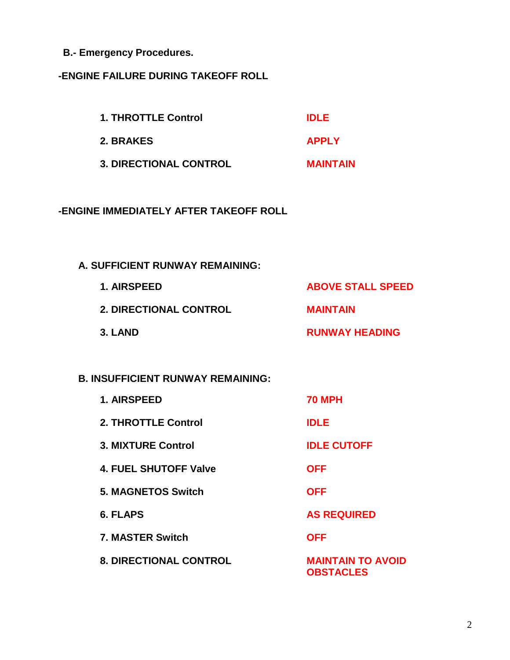**B.- Emergency Procedures.**

## **-ENGINE FAILURE DURING TAKEOFF ROLL**

| <b>1. THROTTLE Control</b>    | <b>IDLE</b>     |
|-------------------------------|-----------------|
| 2. BRAKES                     | <b>APPLY</b>    |
| <b>3. DIRECTIONAL CONTROL</b> | <b>MAINTAIN</b> |

## **-ENGINE IMMEDIATELY AFTER TAKEOFF ROLL**

## **A. SUFFICIENT RUNWAY REMAINING:**

| 1. AIRSPEED                   | <b>ABOVE STALL SPEED</b> |
|-------------------------------|--------------------------|
| <b>2. DIRECTIONAL CONTROL</b> | <b>MAINTAIN</b>          |
| 3. LAND                       | <b>RUNWAY HEADING</b>    |

## **B. INSUFFICIENT RUNWAY REMAINING:**

| 1. AIRSPEED                   | <b>70 MPH</b>                                |
|-------------------------------|----------------------------------------------|
| 2. THROTTLE Control           | <b>IDLE</b>                                  |
| <b>3. MIXTURE Control</b>     | <b>IDLE CUTOFF</b>                           |
| 4. FUEL SHUTOFF Valve         | <b>OFF</b>                                   |
| <b>5. MAGNETOS Switch</b>     | <b>OFF</b>                                   |
| <b>6. FLAPS</b>               | <b>AS REQUIRED</b>                           |
| 7. MASTER Switch              | <b>OFF</b>                                   |
| <b>8. DIRECTIONAL CONTROL</b> | <b>MAINTAIN TO AVOID</b><br><b>OBSTACLES</b> |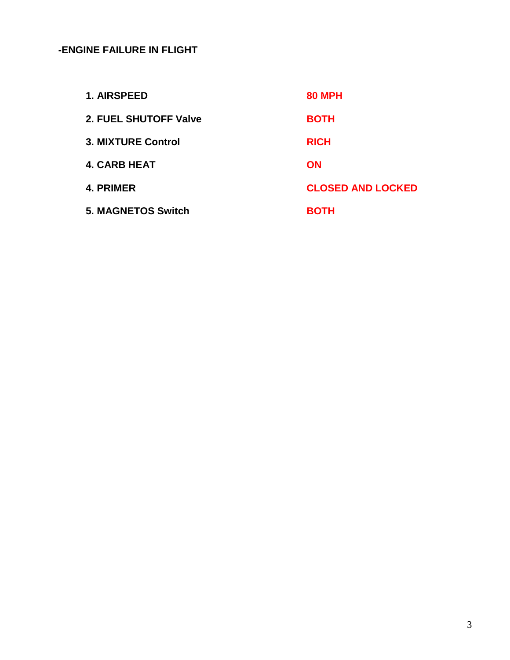## **-ENGINE FAILURE IN FLIGHT**

| 1. AIRSPEED               | <b>80 MPH</b>            |
|---------------------------|--------------------------|
| 2. FUEL SHUTOFF Valve     | <b>BOTH</b>              |
| 3. MIXTURE Control        | <b>RICH</b>              |
| <b>4. CARB HEAT</b>       | <b>ON</b>                |
| 4. PRIMER                 | <b>CLOSED AND LOCKED</b> |
| <b>5. MAGNETOS Switch</b> | <b>BOTH</b>              |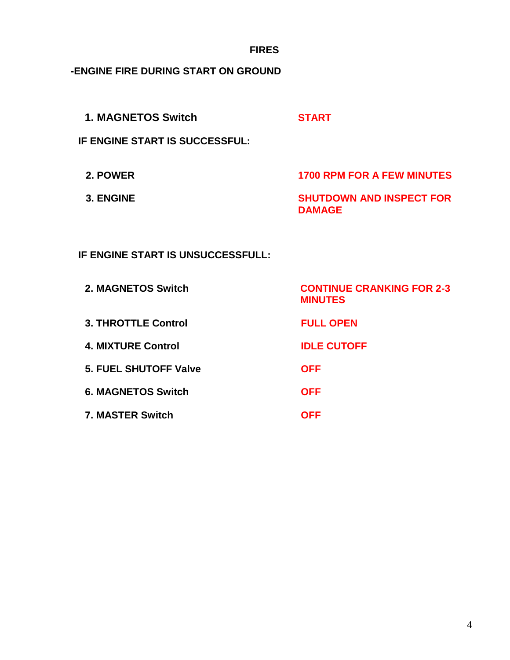**FIRES**

**-ENGINE FIRE DURING START ON GROUND**

| <b>1. MAGNETOS Switch</b> | <b>START</b> |
|---------------------------|--------------|
|                           |              |

**IF ENGINE START IS SUCCESSFUL:**

**2. POWER 1700 RPM FOR A FEW MINUTES 3. ENGINE SHUTDOWN AND INSPECT FOR DAMAGE**

**IF ENGINE START IS UNSUCCESSFULL:**

| 2. MAGNETOS Switch           | <b>CONTINUE CRANKING FOR 2-3</b><br><b>MINUTES</b> |
|------------------------------|----------------------------------------------------|
| <b>3. THROTTLE Control</b>   | <b>FULL OPEN</b>                                   |
| <b>4. MIXTURE Control</b>    | <b>IDLE CUTOFF</b>                                 |
| <b>5. FUEL SHUTOFF Valve</b> | <b>OFF</b>                                         |
| <b>6. MAGNETOS Switch</b>    | <b>OFF</b>                                         |
| <b>7. MASTER Switch</b>      | OFF                                                |